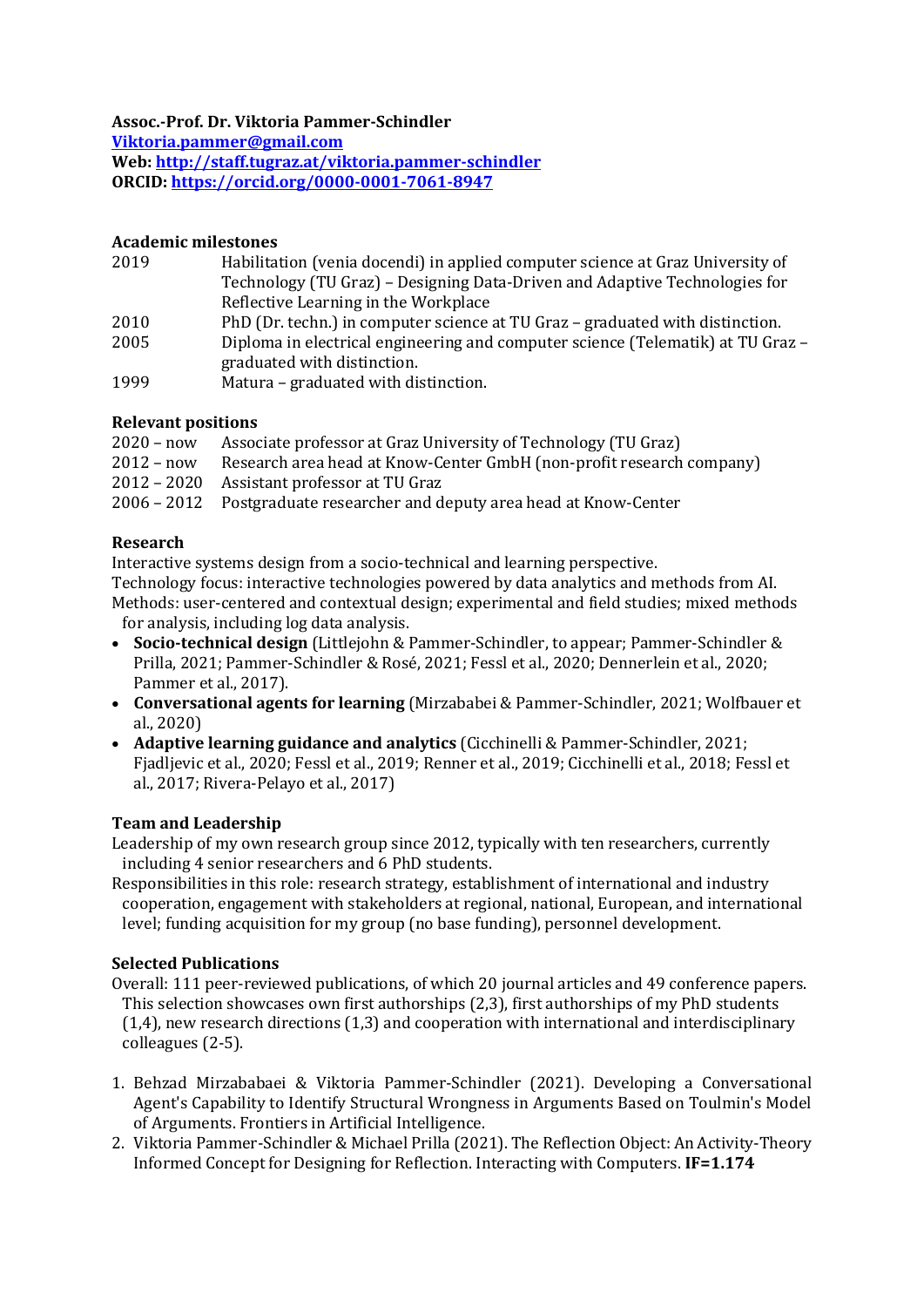**Assoc.-Prof. Dr. Viktoria Pammer-Schindler**

**[Viktoria.pammer@g](mailto:Viktoria.pammer@)mail.com**

**Web: <http://staff.tugraz.at/viktoria.pammer-schindler> ORCID: <https://orcid.org/0000-0001-7061-8947>**

### **Academic milestones**

- 2019 Habilitation (venia docendi) in applied computer science at Graz University of Technology (TU Graz) – Designing Data-Driven and Adaptive Technologies for Reflective Learning in the Workplace
- 2010 PhD (Dr. techn.) in computer science at TU Graz graduated with distinction.
- 2005 Diploma in electrical engineering and computer science (Telematik) at TU Graz graduated with distinction.
- 1999 Matura graduated with distinction.

# **Relevant positions**

 – now Associate professor at Graz University of Technology (TU Graz) – now Research area head at Know-Center GmbH (non-profit research company) – 2020 Assistant professor at TU Graz – 2012 Postgraduate researcher and deputy area head at Know-Center

# **Research**

Interactive systems design from a socio-technical and learning perspective.

Technology focus: interactive technologies powered by data analytics and methods from AI. Methods: user-centered and contextual design; experimental and field studies; mixed methods for analysis, including log data analysis.

- **Socio-technical design** (Littlejohn & Pammer-Schindler, to appear; Pammer-Schindler & Prilla, 2021; Pammer-Schindler & Rosé, 2021; Fessl et al., 2020; Dennerlein et al., 2020; Pammer et al., 2017).
- **Conversational agents for learning** (Mirzababei & Pammer-Schindler, 2021; Wolfbauer et al., 2020)
- **Adaptive learning guidance and analytics** (Cicchinelli & Pammer-Schindler, 2021; Fjadljevic et al., 2020; Fessl et al., 2019; Renner et al., 2019; Cicchinelli et al., 2018; Fessl et al., 2017; Rivera-Pelayo et al., 2017)

# **Team and Leadership**

Leadership of my own research group since 2012, typically with ten researchers, currently including 4 senior researchers and 6 PhD students.

Responsibilities in this role: research strategy, establishment of international and industry cooperation, engagement with stakeholders at regional, national, European, and international level; funding acquisition for my group (no base funding), personnel development.

### **Selected Publications**

- Overall: 111 peer-reviewed publications, of which 20 journal articles and 49 conference papers. This selection showcases own first authorships (2,3), first authorships of my PhD students (1,4), new research directions (1,3) and cooperation with international and interdisciplinary colleagues (2-5).
- 1. Behzad Mirzababaei & Viktoria Pammer-Schindler (2021). Developing a Conversational Agent's Capability to Identify Structural Wrongness in Arguments Based on Toulmin's Model of Arguments. Frontiers in Artificial Intelligence.
- 2. Viktoria Pammer-Schindler & Michael Prilla (2021). The Reflection Object: An Activity-Theory Informed Concept for Designing for Reflection. Interacting with Computers. **IF=1.174**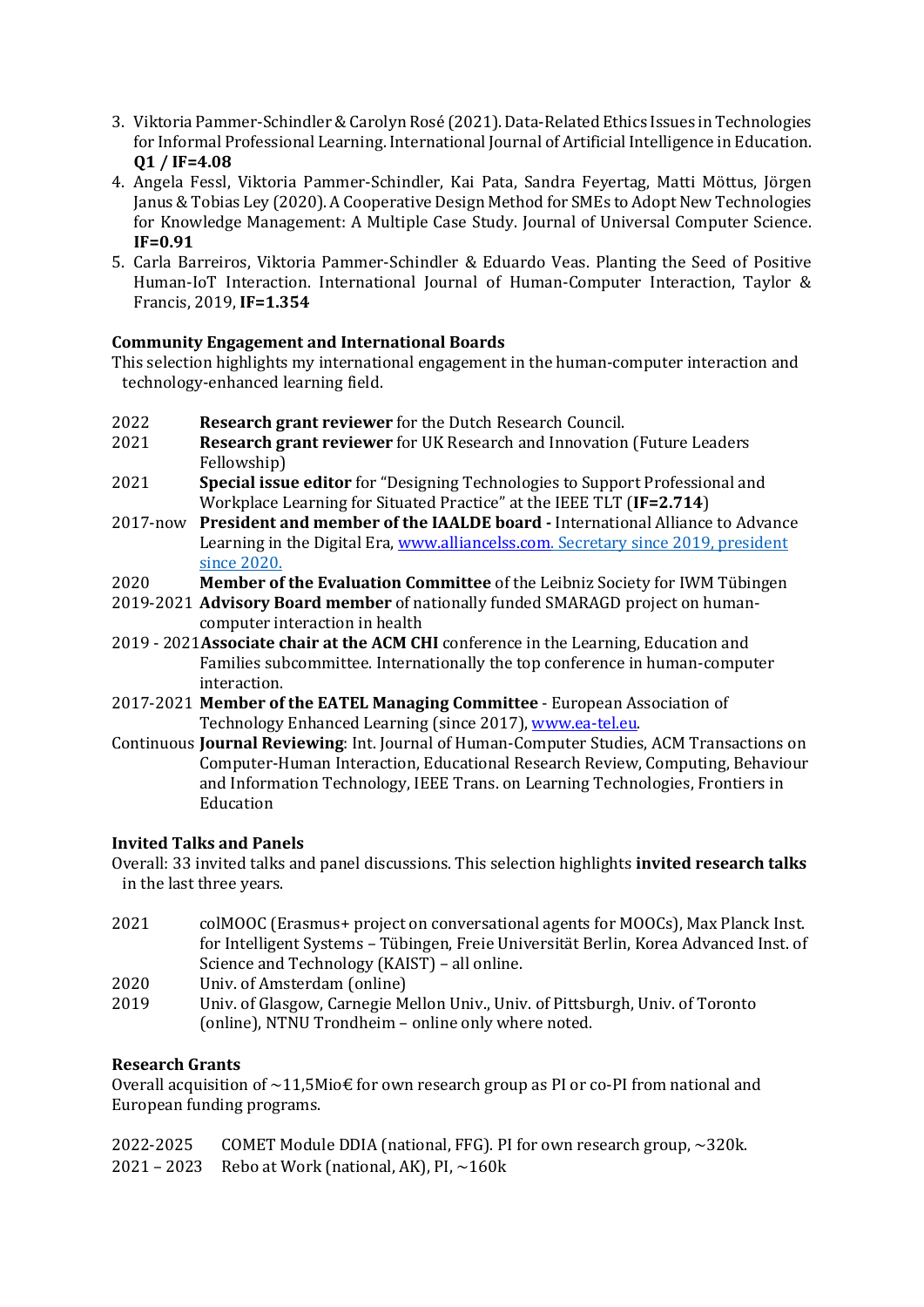- 3. Viktoria Pammer-Schindler & Carolyn Rosé (2021). Data-Related Ethics Issues in Technologies for Informal Professional Learning. International Journal of Artificial Intelligence in Education. **Q1 / IF=4.08**
- 4. Angela Fessl, Viktoria Pammer-Schindler, Kai Pata, Sandra Feyertag, Matti Möttus, Jörgen Janus & Tobias Ley (2020). A Cooperative Design Method for SMEs to Adopt New Technologies for Knowledge Management: A Multiple Case Study. Journal of Universal Computer Science. **IF=0.91**
- 5. Carla Barreiros, Viktoria Pammer-Schindler & Eduardo Veas. Planting the Seed of Positive Human-IoT Interaction. International Journal of Human-Computer Interaction, Taylor & Francis, 2019, **IF=1.354**

## **Community Engagement and International Boards**

This selection highlights my international engagement in the human-computer interaction and technology-enhanced learning field.

- 2022 **Research grant reviewer** for the Dutch Research Council.
- 2021 **Research grant reviewer** for UK Research and Innovation (Future Leaders Fellowship)
- 2021 **Special issue editor** for "Designing Technologies to Support Professional and Workplace Learning for Situated Practice" at the IEEE TLT (**IF=2.714**)
- 2017-now **President and member of the IAALDE board -** International Alliance to Advance Learning in the Digital Era[, www.alliancelss.com.](http://www.alliancelss.com/) Secretary since 2019, president since 2020.
- 2020 **Member of the Evaluation Committee** of the Leibniz Society for IWM Tübingen
- 2019-2021 **Advisory Board member** of nationally funded SMARAGD project on humancomputer interaction in health
- 2019 2021**Associate chair at the ACM CHI** conference in the Learning, Education and Families subcommittee. Internationally the top conference in human-computer interaction.
- 2017-2021 **Member of the EATEL Managing Committee** European Association of Technology Enhanced Learning (since 2017), [www.ea-tel.eu.](http://www.ea-tel.eu/)
- Continuous **Journal Reviewing**: Int. Journal of Human-Computer Studies, ACM Transactions on Computer-Human Interaction, Educational Research Review, Computing, Behaviour and Information Technology, IEEE Trans. on Learning Technologies, Frontiers in Education

### **Invited Talks and Panels**

Overall: 33 invited talks and panel discussions. This selection highlights **invited research talks** in the last three years.

- 2021 colMOOC (Erasmus+ project on conversational agents for MOOCs), Max Planck Inst. for Intelligent Systems – Tübingen, Freie Universität Berlin, Korea Advanced Inst. of Science and Technology (KAIST) – all online.
- 2020 Univ. of Amsterdam (online)
- 2019 Univ. of Glasgow, Carnegie Mellon Univ., Univ. of Pittsburgh, Univ. of Toronto (online), NTNU Trondheim – online only where noted.

### **Research Grants**

Overall acquisition of  $\sim$ 11,5Mio€ for own research group as PI or co-PI from national and European funding programs.

| 2022-2025 COMET Module DDIA (national, FFG). PI for own research group, ~320k. |
|--------------------------------------------------------------------------------|
| 2021 – 2023 Rebo at Work (national, AK), PI, $\sim$ 160k                       |